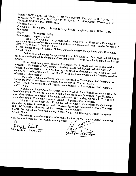MINUTES OF A SPECIAL MEETING OF THE MAYOR AND COUNCIL, TOWN OF SORRENTO, TUESDAY, JANUARY 19, 2022, 6:00 P.M., SORRENTO COMMUNITY Members Present:

Councilmen: Wanda Bourgeois, Randy Anny, Duane<br>Domingue Mayor:<br>Town Clerk: Humphrey, Darnell Gilbert, Chad

Christopher Guidry<br>Paige K. Robert

I when by Councilman Randy Anny and seconded by Councilman Chad Domingue to<br>the minutes of the regular meeting of the mayor and council to regard Domingue to 2021. Motion carried. Vote as follows:<br>YEAS: Wanda Bourgoois December 7,

YEAS: Wanda Bourgeois, Darnell Gilbert, Duane Humphrey, Randy Anny, Chad Domingue,<br>NAYS: None<br>Budget to actual re

the Mayor and Council for the month of November 2021. A copy is available at the town hall for Budget to actual reports were presented by Jacob Waguespack from Faulk and Winkler to

Councilman Randy Anny introduced ordinance 21-12, An Amendment to Subdivision Regulations Ordinance #17-03, Section: Standard Fees Schedule, Certified Mail Outs and<br>Concept Plan Notifications. A public hearing was called for the next meeting of the nayor and<br>council on Tuesday, February 1, 2022, at Regulations Ordinance #17-03, Section: Standard Fees Schedule, Certified Mail Outs and adoption of this ordinance.<br>
Motion by Councilly Republic Community Center to consider<br>
Motion by Councilly Republic Republic Community Center to consider MAYOR AND COUNCIL, TOWN OF<br>  $(0.00 \text{ P.M.}, \text{SORRENTO COMMUNITY})$ <br>
ane Humphrey, Darnell Gilbert, Chad<br>
ane Humphrey, Darnell Gilbert, Chad<br>
ane of the control of the Tucsday December 7,<br>
lumphrey, Randy Amay, Chad Domingue,<br>
cob Wa

YEAS: Wanda Bourgeois, Darnell Gilbert Duane II. Vote as follows:<br>NAVS: Wanda Bourgeois, Darnell Gilbert Duane II. Motion by Councilman Randy Anny and seconded by Councilman Chad Domingue to ARTIS: Wallah Bourgeois, Darnell Gilbert, Duane Humphrey,

Councilman Randy Anny introduced ordinance 22-01, An ordinance to amount Council<br>e Sorrento Code of Ordinance (

was called for the next meeting of the mayor and council on Tuesdon. E.1  $\mu$  and  $\mu$  bearing pun at the Sorrento Computer is a public hearing ordinance to amend Section Tuesday, 56 of the Sorrento Code of Ordinances to set the time and place of meetings. A public hearing

pm at the Sorrento Community Center to consider adoption of this order<br>Motion by Councilman Chad Domingue and second all<br>authorize the wave Motion by Councilman Chad Domingue and seconded by Councilman Randy Anny to authorize the mayor to execute the Land Use/Lease Agreement between the Town of Sorrento<br>and DRC Emergency Services. Motion carried. Vote as follows:<br>YEAS: Darnell Gilbert Duane Humphrey, Randy Anny. Chad Domingue W. J. P.

NAYS: None<br>There being no firth a low in the Randy Anny, Chad Domingue, Wanda Bourgeois There being no further business to be brought before the Mayor and Council, on motion duly made and seconded, the meeting was adjourned.

A

n. Robert, Town Clerk

*M*ristopher Gaidry, Mayo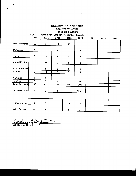| <b>Mayor and City Council Report</b>                              |              |                |              |              |              |      |      |      |  |  |
|-------------------------------------------------------------------|--------------|----------------|--------------|--------------|--------------|------|------|------|--|--|
| <b>City Calls and Arrest</b>                                      |              |                |              |              |              |      |      |      |  |  |
| Sorrento, Louisiana                                               |              |                |              |              |              |      |      |      |  |  |
| August<br>September<br><b>October</b><br><b>November December</b> |              |                |              |              |              |      |      |      |  |  |
|                                                                   | 2021         | 2021           | 2021         | 2021         | 2021         | 2021 | 2021 | 2021 |  |  |
| Veh. Accidents                                                    | 18           | 24             | 19           | 19           | 22           |      |      |      |  |  |
| <b>Burglaries</b>                                                 | $\mathbf 0$  | $\overline{2}$ | $\mathbf 1$  | $\mathbf{1}$ | $\mathbf{1}$ |      |      |      |  |  |
| <b>Thefts</b>                                                     | 6            | 5              | 6            | 4            | 3            |      |      |      |  |  |
| Armed Robbery                                                     | $\bf{0}$     | 0              | $\mathbf 0$  | 0            | 0            |      |      |      |  |  |
| Simple Robbery                                                    | $\mathbf 0$  | $\mathbf 0$    | 0            | $\mathbf 0$  | $\mathbf 0$  |      |      |      |  |  |
| Alarms                                                            | 9            | 11             | 8            | 5            | 6            |      |      |      |  |  |
| <b>Narcotics</b>                                                  | $\mathbf{1}$ | $\mathbf 0$    | $\mathbf{1}$ | $\mathbf 0$  | $\mathbf{1}$ |      |      |      |  |  |
| Shooting                                                          | $\mathbf 0$  | $\mathbf 0$    | $\mathbf 0$  | $\mathbf 0$  | $\mathbf 0$  |      |      |      |  |  |
| <b>Total Service Q</b>                                            | 135          | 155            | 138          | 96           | 105          |      |      |      |  |  |
| <b>SCO/Loud Musi</b>                                              | $\mathbf 0$  | $\pmb{0}$      | 0            | $\mathbf 0$  | $\mathbf{C}$ |      |      |      |  |  |
|                                                                   |              | $\epsilon$     |              |              |              |      |      |      |  |  |
|                                                                   |              |                |              |              |              |      |      |      |  |  |

| <b>Traffic Citations</b> |  | 10 | - - |  |  |
|--------------------------|--|----|-----|--|--|
| <b>Adult Arrests</b>     |  |    |     |  |  |

Col. Rosevelt Hampton

 $\overline{a}$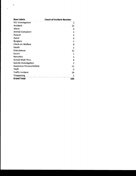| <b>Row Labels</b>                | <b>Count of Incident Number</b> |  |  |  |  |
|----------------------------------|---------------------------------|--|--|--|--|
| 911 Investigation                | 1                               |  |  |  |  |
| <b>Accident</b>                  | 22                              |  |  |  |  |
| Alarm                            | 6                               |  |  |  |  |
| <b>Animal Complaint</b>          | $\overline{2}$                  |  |  |  |  |
| Assault                          | 4                               |  |  |  |  |
| <b>Assist</b>                    | 6                               |  |  |  |  |
| <b>Burglary</b>                  | 1                               |  |  |  |  |
| <b>Check on Welfare</b>          | 8                               |  |  |  |  |
| Death                            | 1                               |  |  |  |  |
| Disturbance                      | 12                              |  |  |  |  |
| Escort                           | 1                               |  |  |  |  |
| <b>Narcotics</b>                 | 1                               |  |  |  |  |
| <b>School Walk Thru</b>          | 6                               |  |  |  |  |
| <b>Suicide Investigation</b>     | $\overline{2}$                  |  |  |  |  |
| <b>Suspicious Person/Vehicle</b> | 11                              |  |  |  |  |
| <b>Theft</b>                     | 3                               |  |  |  |  |
| <b>Traffic Incident</b>          | 16                              |  |  |  |  |
| <b>Trespassing</b>               | $\overline{2}$                  |  |  |  |  |
| <b>Grand Total</b>               | 105                             |  |  |  |  |

 $\sim 10^{-1}$ 

 $\bullet$ 

 $\star$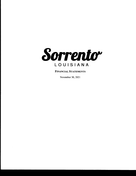

FINANCIAL STATEMENTS

November 30, 2021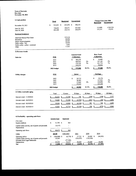### Town of Sorrento Key stats November 30, 2021

| 1) Cash position                                                                                                                            | <b>Total</b>                 | <b>Restricted</b>                                        |                           | Unrestricted                              |             |                  | Change from June 30th<br><b>Restricted</b> | Unrestricted                     |
|---------------------------------------------------------------------------------------------------------------------------------------------|------------------------------|----------------------------------------------------------|---------------------------|-------------------------------------------|-------------|------------------|--------------------------------------------|----------------------------------|
| November 30, 2021                                                                                                                           | \$<br>912,021 \$             | 425,470                                                  | $\boldsymbol{\mathsf{s}}$ | 486,551                                   |             |                  |                                            |                                  |
| June 30, 2021<br>June 30, 2020                                                                                                              | 730,632<br>682,588           | 109,571<br>253,713                                       |                           | 621,061<br>428,875                        |             |                  | 315,899<br>171,757                         | (134, 510)<br>57,676             |
| Restricted breakdown                                                                                                                        |                              |                                                          |                           |                                           |             |                  |                                            |                                  |
| American Rescue Plan Grant<br>Recreation<br>Senior citizen programs<br>Public safety - fire<br>Public safety - police - restricted<br>Other |                              | 315,114<br>44,084<br>40,965<br>10,830<br>2,651<br>11,827 |                           |                                           |             |                  |                                            |                                  |
| 2) Revenue trends                                                                                                                           |                              |                                                          |                           |                                           |             |                  |                                            |                                  |
| Sales tax                                                                                                                                   | <b>FYE</b>                   |                                                          |                           | <b>General Fund</b><br><b>Collections</b> |             |                  | <b>Rest. Fund</b><br>Collections           |                                  |
|                                                                                                                                             | 2022<br>2021<br>2020<br>2019 |                                                          | \$                        | 306,279<br>606,952<br>576,720<br>535,232  | 5%<br>7%    | \$               | 54,049<br>107,109<br>101.774<br>94,416     | 5%<br>7%                         |
|                                                                                                                                             | 2022 budget                  |                                                          | \$                        | 575,000                                   | 53.3%       | s                | 97,500                                     | 55.4%                            |
| <b>Utility charges</b>                                                                                                                      | <b>FYE</b>                   |                                                          |                           | Sewer                                     |             |                  | Garbage                                    |                                  |
|                                                                                                                                             | 2022<br>2021<br>2020<br>2019 |                                                          | \$                        | 24,710<br>58,482<br>57,862<br>57,915      | 0%          | \$               | 55,176<br>127,022<br>124,896<br>121,310    | 2%<br>3%                         |
|                                                                                                                                             | 2022 budget                  |                                                          | \$                        | 60,000                                    | 41.2%       | s                | 130,000                                    | 42.4%                            |
| 3) Utility receivable aging                                                                                                                 | Total                        | Current                                                  |                           | 30 days                                   | 60 days     |                  | 90 days                                    | 120 days                         |
| Amount owed - 11/30/2021                                                                                                                    | 21,372                       | \$<br>17,759                                             | \$                        | 740                                       | \$<br>(259) | $\boldsymbol{s}$ | (194)                                      | - \$<br>3,327                    |
| Amount owed - 06/30/2021                                                                                                                    | 14,684                       | \$<br>13,104                                             | \$                        | (2, 723)                                  | \$<br>(501) | \$               | (93)                                       | $\overline{\mathbf{z}}$<br>4,896 |
| Amount owed - 06/30/2020                                                                                                                    | 19,200                       | \$<br>14,984                                             | \$                        | $(2,140)$ \$                              | 981         | \$               | 768                                        | \$<br>4,608                      |

Amount owed - 06/30/2019 15,303 \$ 12,716 \$ (2,226) \$ 526 \$ (573) \$ 4,860

#### 4) Profltabiliy- operating cash flows

|                                                                                                            |    | General Fund              | Restricted               |                        |                      |      |           |
|------------------------------------------------------------------------------------------------------------|----|---------------------------|--------------------------|------------------------|----------------------|------|-----------|
| <b>FYE 2022</b><br>Surplus (deficit)                                                                       | \$ | 51,790 \$                 | 863                      |                        |                      |      |           |
| Capital outlay activity, net of grants and proceeds<br>Depreciation                                        |    | (5,117)                   | $\blacksquare$           |                        |                      |      |           |
| Operating cash flows                                                                                       |    | 46,673                    | 863                      |                        |                      |      |           |
| <b>Utility</b>                                                                                             |    | 2022B                     | <b>YTD 2022</b>          | 2021                   | 2020                 |      | 2019      |
| Operating deficit<br>Capital outlay activity, net of grants and proceeds<br>Proceeds from Legal Settlement | S  | $(106, 800)$ \$<br>20,000 | $(6,778)$ \$<br>(77,500) | 37,722 \$<br>(126,392) | 36,969<br>(130, 198) | - \$ | (96, 503) |
| Depreciation                                                                                               |    | 85,000                    | 35,417                   | 80,000                 | 85,000               |      | 85,000    |
| <b>Net</b>                                                                                                 |    | $(1,800)$ \$              | $(48, 861)$ \$           | $(8,669)$ \$           | $(8,230)$ \$         |      | (11,503)  |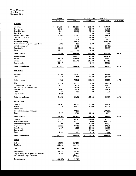#### Town of Sorrento Overview November 30, 2021

| % of budget<br>11/30/2021<br>Actual<br><b>Budget</b><br>Remaining<br>General:<br>\$<br>268,721<br>Sales tax<br>\$<br>240,294<br>S<br>306,279<br>\$<br>575,000<br>10,924<br>61,091<br>Property tax<br>10,909<br>72,000<br>Franchise fees<br>49,844<br>92,500<br>37,321<br>55,179<br>1,441<br>Beer Tax<br>1,553<br>1,559<br>3,000<br>Licenses and permits<br>10,009<br>101,300<br>79,484<br>21,816<br><b>Charges for Services</b><br>11,500<br>11,500<br>Fines<br>2,251<br>923<br>3,077<br>4,000<br>Planning & Zoning<br>22,428<br>(22, 428)<br>Intergovernmental grants - Operational<br>2,982<br>5,345<br>655<br>6,000<br>State tourism grant<br>4,462<br>(4, 462)<br>Transfers In<br>17,333<br>25,150<br>12,250<br>37,400<br>Other<br>973<br>22,797<br>27<br>1,000<br>48%<br><b>Total revenue</b><br>357,988<br>467,212<br>436,488<br>903,700<br>Administration<br>124,213<br>120,472<br>259,100<br>138,628<br>Police<br>155,449<br>152,481<br>214,019<br>366,500<br><b>Streets</b><br>128,941<br>111,745<br>267,200<br>155,455<br>Capital outlay<br>27,047<br>40,000<br>40,000<br>41%<br><b>Total expenditures</b><br>435,651<br>384,697<br>932,800<br>548,103<br><u> Restricted:</u><br>Sales tax<br>42,405<br>54,049<br>97,500<br>43,451<br>Other<br>2,349<br>16,511<br>13,400<br>(3,111)<br><b>Total revenue</b><br>64%<br>44,753<br>70,561<br>110,900<br>40,339<br>Fire<br>14,590<br>37,783<br>32,500<br>(5,283)<br>9,211<br>9,164<br>30,000<br>Senior citizen programs<br>20,836<br><b>Recreation - Community Center</b><br>20,532<br>25,800<br>9,339<br>16,461<br><b>Transfer Out</b><br>8,667<br>20,800<br>14,675<br>6,125<br>Other<br>154<br>500<br>335<br>165<br>Capital outlay<br>1,738<br>$\blacksquare$<br>$\blacksquare$<br>$\blacksquare$<br><b>Total expenditures</b><br>109,600<br>39,903<br>64%<br>54,892<br>69,697<br><b>Utility Fund:</b><br>Garbage<br>53,102<br>55,094<br>130,000<br>74,906<br>Sewer<br>24,330<br>24,622<br>60,000<br>35,378<br>Sewer Grant<br>Proceeds from Legal Settlement<br>77,500<br>(77, 500)<br>Other<br>5,117<br>4,914<br>11,150<br>6,236<br><b>Total revenue</b><br>82,549<br>162,130<br>201,150<br>39,020<br>81%<br>50,224<br>Garbage<br>53,210<br>115,000<br>61,790<br>Sewer maintenance<br>17,411<br>65,220<br>25,000<br>(40, 220)<br>9,795<br>Sewer operating costs<br>6,511<br>40,000<br>33,489<br>Depreciation<br>33,333<br>35,417<br>85,000<br>49,583<br><b>Transfer Out</b><br>8,667<br>6,125<br>18,700<br>12,575<br>Capital outlay<br>20,000<br>20,000<br>Other<br>1,544<br>2,426<br>1,824<br>4,250<br><b>Total expenditures</b><br>120,973<br>$\boldsymbol{s}$<br>55%<br>168,908<br>307,950<br>$\mathbf{s}$<br>139,042<br>Total:<br><b>Inflows</b><br>485,291<br>669,178<br>Outflows<br>611,516<br>623,302<br><b>Net</b><br>(126, 226)<br>45,876<br>Depreciation<br>33,333<br>35,417<br>Capital outlay, net of grants and proceeds<br>28,785<br>(5,117)<br>Proceeds from Legal Settlement<br>(77, 500)<br>÷<br>Operating, net<br>$\bullet$<br>(64, 107)<br>\$<br>(1, 325) | YTD as of | Current Year - FYE 2021/2022 |  |
|--------------------------------------------------------------------------------------------------------------------------------------------------------------------------------------------------------------------------------------------------------------------------------------------------------------------------------------------------------------------------------------------------------------------------------------------------------------------------------------------------------------------------------------------------------------------------------------------------------------------------------------------------------------------------------------------------------------------------------------------------------------------------------------------------------------------------------------------------------------------------------------------------------------------------------------------------------------------------------------------------------------------------------------------------------------------------------------------------------------------------------------------------------------------------------------------------------------------------------------------------------------------------------------------------------------------------------------------------------------------------------------------------------------------------------------------------------------------------------------------------------------------------------------------------------------------------------------------------------------------------------------------------------------------------------------------------------------------------------------------------------------------------------------------------------------------------------------------------------------------------------------------------------------------------------------------------------------------------------------------------------------------------------------------------------------------------------------------------------------------------------------------------------------------------------------------------------------------------------------------------------------------------------------------------------------------------------------------------------------------------------------------------------------------------------------------------------------------------------------------------------------------------------------------------------------------------------------------------------------------------------------------------------------------------------------------------------------------------------------------------------------------------------------------------------------------------------------------------------------------------------------------------------------------------------------------------------------------------------------------------------------------------------------|-----------|------------------------------|--|
|                                                                                                                                                                                                                                                                                                                                                                                                                                                                                                                                                                                                                                                                                                                                                                                                                                                                                                                                                                                                                                                                                                                                                                                                                                                                                                                                                                                                                                                                                                                                                                                                                                                                                                                                                                                                                                                                                                                                                                                                                                                                                                                                                                                                                                                                                                                                                                                                                                                                                                                                                                                                                                                                                                                                                                                                                                                                                                                                                                                                                                      |           |                              |  |
|                                                                                                                                                                                                                                                                                                                                                                                                                                                                                                                                                                                                                                                                                                                                                                                                                                                                                                                                                                                                                                                                                                                                                                                                                                                                                                                                                                                                                                                                                                                                                                                                                                                                                                                                                                                                                                                                                                                                                                                                                                                                                                                                                                                                                                                                                                                                                                                                                                                                                                                                                                                                                                                                                                                                                                                                                                                                                                                                                                                                                                      |           |                              |  |
|                                                                                                                                                                                                                                                                                                                                                                                                                                                                                                                                                                                                                                                                                                                                                                                                                                                                                                                                                                                                                                                                                                                                                                                                                                                                                                                                                                                                                                                                                                                                                                                                                                                                                                                                                                                                                                                                                                                                                                                                                                                                                                                                                                                                                                                                                                                                                                                                                                                                                                                                                                                                                                                                                                                                                                                                                                                                                                                                                                                                                                      |           |                              |  |
|                                                                                                                                                                                                                                                                                                                                                                                                                                                                                                                                                                                                                                                                                                                                                                                                                                                                                                                                                                                                                                                                                                                                                                                                                                                                                                                                                                                                                                                                                                                                                                                                                                                                                                                                                                                                                                                                                                                                                                                                                                                                                                                                                                                                                                                                                                                                                                                                                                                                                                                                                                                                                                                                                                                                                                                                                                                                                                                                                                                                                                      |           |                              |  |
|                                                                                                                                                                                                                                                                                                                                                                                                                                                                                                                                                                                                                                                                                                                                                                                                                                                                                                                                                                                                                                                                                                                                                                                                                                                                                                                                                                                                                                                                                                                                                                                                                                                                                                                                                                                                                                                                                                                                                                                                                                                                                                                                                                                                                                                                                                                                                                                                                                                                                                                                                                                                                                                                                                                                                                                                                                                                                                                                                                                                                                      |           |                              |  |
|                                                                                                                                                                                                                                                                                                                                                                                                                                                                                                                                                                                                                                                                                                                                                                                                                                                                                                                                                                                                                                                                                                                                                                                                                                                                                                                                                                                                                                                                                                                                                                                                                                                                                                                                                                                                                                                                                                                                                                                                                                                                                                                                                                                                                                                                                                                                                                                                                                                                                                                                                                                                                                                                                                                                                                                                                                                                                                                                                                                                                                      |           |                              |  |
|                                                                                                                                                                                                                                                                                                                                                                                                                                                                                                                                                                                                                                                                                                                                                                                                                                                                                                                                                                                                                                                                                                                                                                                                                                                                                                                                                                                                                                                                                                                                                                                                                                                                                                                                                                                                                                                                                                                                                                                                                                                                                                                                                                                                                                                                                                                                                                                                                                                                                                                                                                                                                                                                                                                                                                                                                                                                                                                                                                                                                                      |           |                              |  |
|                                                                                                                                                                                                                                                                                                                                                                                                                                                                                                                                                                                                                                                                                                                                                                                                                                                                                                                                                                                                                                                                                                                                                                                                                                                                                                                                                                                                                                                                                                                                                                                                                                                                                                                                                                                                                                                                                                                                                                                                                                                                                                                                                                                                                                                                                                                                                                                                                                                                                                                                                                                                                                                                                                                                                                                                                                                                                                                                                                                                                                      |           |                              |  |
|                                                                                                                                                                                                                                                                                                                                                                                                                                                                                                                                                                                                                                                                                                                                                                                                                                                                                                                                                                                                                                                                                                                                                                                                                                                                                                                                                                                                                                                                                                                                                                                                                                                                                                                                                                                                                                                                                                                                                                                                                                                                                                                                                                                                                                                                                                                                                                                                                                                                                                                                                                                                                                                                                                                                                                                                                                                                                                                                                                                                                                      |           |                              |  |
|                                                                                                                                                                                                                                                                                                                                                                                                                                                                                                                                                                                                                                                                                                                                                                                                                                                                                                                                                                                                                                                                                                                                                                                                                                                                                                                                                                                                                                                                                                                                                                                                                                                                                                                                                                                                                                                                                                                                                                                                                                                                                                                                                                                                                                                                                                                                                                                                                                                                                                                                                                                                                                                                                                                                                                                                                                                                                                                                                                                                                                      |           |                              |  |
|                                                                                                                                                                                                                                                                                                                                                                                                                                                                                                                                                                                                                                                                                                                                                                                                                                                                                                                                                                                                                                                                                                                                                                                                                                                                                                                                                                                                                                                                                                                                                                                                                                                                                                                                                                                                                                                                                                                                                                                                                                                                                                                                                                                                                                                                                                                                                                                                                                                                                                                                                                                                                                                                                                                                                                                                                                                                                                                                                                                                                                      |           |                              |  |
|                                                                                                                                                                                                                                                                                                                                                                                                                                                                                                                                                                                                                                                                                                                                                                                                                                                                                                                                                                                                                                                                                                                                                                                                                                                                                                                                                                                                                                                                                                                                                                                                                                                                                                                                                                                                                                                                                                                                                                                                                                                                                                                                                                                                                                                                                                                                                                                                                                                                                                                                                                                                                                                                                                                                                                                                                                                                                                                                                                                                                                      |           |                              |  |
|                                                                                                                                                                                                                                                                                                                                                                                                                                                                                                                                                                                                                                                                                                                                                                                                                                                                                                                                                                                                                                                                                                                                                                                                                                                                                                                                                                                                                                                                                                                                                                                                                                                                                                                                                                                                                                                                                                                                                                                                                                                                                                                                                                                                                                                                                                                                                                                                                                                                                                                                                                                                                                                                                                                                                                                                                                                                                                                                                                                                                                      |           |                              |  |
|                                                                                                                                                                                                                                                                                                                                                                                                                                                                                                                                                                                                                                                                                                                                                                                                                                                                                                                                                                                                                                                                                                                                                                                                                                                                                                                                                                                                                                                                                                                                                                                                                                                                                                                                                                                                                                                                                                                                                                                                                                                                                                                                                                                                                                                                                                                                                                                                                                                                                                                                                                                                                                                                                                                                                                                                                                                                                                                                                                                                                                      |           |                              |  |
|                                                                                                                                                                                                                                                                                                                                                                                                                                                                                                                                                                                                                                                                                                                                                                                                                                                                                                                                                                                                                                                                                                                                                                                                                                                                                                                                                                                                                                                                                                                                                                                                                                                                                                                                                                                                                                                                                                                                                                                                                                                                                                                                                                                                                                                                                                                                                                                                                                                                                                                                                                                                                                                                                                                                                                                                                                                                                                                                                                                                                                      |           |                              |  |
|                                                                                                                                                                                                                                                                                                                                                                                                                                                                                                                                                                                                                                                                                                                                                                                                                                                                                                                                                                                                                                                                                                                                                                                                                                                                                                                                                                                                                                                                                                                                                                                                                                                                                                                                                                                                                                                                                                                                                                                                                                                                                                                                                                                                                                                                                                                                                                                                                                                                                                                                                                                                                                                                                                                                                                                                                                                                                                                                                                                                                                      |           |                              |  |
|                                                                                                                                                                                                                                                                                                                                                                                                                                                                                                                                                                                                                                                                                                                                                                                                                                                                                                                                                                                                                                                                                                                                                                                                                                                                                                                                                                                                                                                                                                                                                                                                                                                                                                                                                                                                                                                                                                                                                                                                                                                                                                                                                                                                                                                                                                                                                                                                                                                                                                                                                                                                                                                                                                                                                                                                                                                                                                                                                                                                                                      |           |                              |  |
|                                                                                                                                                                                                                                                                                                                                                                                                                                                                                                                                                                                                                                                                                                                                                                                                                                                                                                                                                                                                                                                                                                                                                                                                                                                                                                                                                                                                                                                                                                                                                                                                                                                                                                                                                                                                                                                                                                                                                                                                                                                                                                                                                                                                                                                                                                                                                                                                                                                                                                                                                                                                                                                                                                                                                                                                                                                                                                                                                                                                                                      |           |                              |  |
|                                                                                                                                                                                                                                                                                                                                                                                                                                                                                                                                                                                                                                                                                                                                                                                                                                                                                                                                                                                                                                                                                                                                                                                                                                                                                                                                                                                                                                                                                                                                                                                                                                                                                                                                                                                                                                                                                                                                                                                                                                                                                                                                                                                                                                                                                                                                                                                                                                                                                                                                                                                                                                                                                                                                                                                                                                                                                                                                                                                                                                      |           |                              |  |
|                                                                                                                                                                                                                                                                                                                                                                                                                                                                                                                                                                                                                                                                                                                                                                                                                                                                                                                                                                                                                                                                                                                                                                                                                                                                                                                                                                                                                                                                                                                                                                                                                                                                                                                                                                                                                                                                                                                                                                                                                                                                                                                                                                                                                                                                                                                                                                                                                                                                                                                                                                                                                                                                                                                                                                                                                                                                                                                                                                                                                                      |           |                              |  |
|                                                                                                                                                                                                                                                                                                                                                                                                                                                                                                                                                                                                                                                                                                                                                                                                                                                                                                                                                                                                                                                                                                                                                                                                                                                                                                                                                                                                                                                                                                                                                                                                                                                                                                                                                                                                                                                                                                                                                                                                                                                                                                                                                                                                                                                                                                                                                                                                                                                                                                                                                                                                                                                                                                                                                                                                                                                                                                                                                                                                                                      |           |                              |  |
|                                                                                                                                                                                                                                                                                                                                                                                                                                                                                                                                                                                                                                                                                                                                                                                                                                                                                                                                                                                                                                                                                                                                                                                                                                                                                                                                                                                                                                                                                                                                                                                                                                                                                                                                                                                                                                                                                                                                                                                                                                                                                                                                                                                                                                                                                                                                                                                                                                                                                                                                                                                                                                                                                                                                                                                                                                                                                                                                                                                                                                      |           |                              |  |
|                                                                                                                                                                                                                                                                                                                                                                                                                                                                                                                                                                                                                                                                                                                                                                                                                                                                                                                                                                                                                                                                                                                                                                                                                                                                                                                                                                                                                                                                                                                                                                                                                                                                                                                                                                                                                                                                                                                                                                                                                                                                                                                                                                                                                                                                                                                                                                                                                                                                                                                                                                                                                                                                                                                                                                                                                                                                                                                                                                                                                                      |           |                              |  |
|                                                                                                                                                                                                                                                                                                                                                                                                                                                                                                                                                                                                                                                                                                                                                                                                                                                                                                                                                                                                                                                                                                                                                                                                                                                                                                                                                                                                                                                                                                                                                                                                                                                                                                                                                                                                                                                                                                                                                                                                                                                                                                                                                                                                                                                                                                                                                                                                                                                                                                                                                                                                                                                                                                                                                                                                                                                                                                                                                                                                                                      |           |                              |  |
|                                                                                                                                                                                                                                                                                                                                                                                                                                                                                                                                                                                                                                                                                                                                                                                                                                                                                                                                                                                                                                                                                                                                                                                                                                                                                                                                                                                                                                                                                                                                                                                                                                                                                                                                                                                                                                                                                                                                                                                                                                                                                                                                                                                                                                                                                                                                                                                                                                                                                                                                                                                                                                                                                                                                                                                                                                                                                                                                                                                                                                      |           |                              |  |
|                                                                                                                                                                                                                                                                                                                                                                                                                                                                                                                                                                                                                                                                                                                                                                                                                                                                                                                                                                                                                                                                                                                                                                                                                                                                                                                                                                                                                                                                                                                                                                                                                                                                                                                                                                                                                                                                                                                                                                                                                                                                                                                                                                                                                                                                                                                                                                                                                                                                                                                                                                                                                                                                                                                                                                                                                                                                                                                                                                                                                                      |           |                              |  |
|                                                                                                                                                                                                                                                                                                                                                                                                                                                                                                                                                                                                                                                                                                                                                                                                                                                                                                                                                                                                                                                                                                                                                                                                                                                                                                                                                                                                                                                                                                                                                                                                                                                                                                                                                                                                                                                                                                                                                                                                                                                                                                                                                                                                                                                                                                                                                                                                                                                                                                                                                                                                                                                                                                                                                                                                                                                                                                                                                                                                                                      |           |                              |  |
|                                                                                                                                                                                                                                                                                                                                                                                                                                                                                                                                                                                                                                                                                                                                                                                                                                                                                                                                                                                                                                                                                                                                                                                                                                                                                                                                                                                                                                                                                                                                                                                                                                                                                                                                                                                                                                                                                                                                                                                                                                                                                                                                                                                                                                                                                                                                                                                                                                                                                                                                                                                                                                                                                                                                                                                                                                                                                                                                                                                                                                      |           |                              |  |
|                                                                                                                                                                                                                                                                                                                                                                                                                                                                                                                                                                                                                                                                                                                                                                                                                                                                                                                                                                                                                                                                                                                                                                                                                                                                                                                                                                                                                                                                                                                                                                                                                                                                                                                                                                                                                                                                                                                                                                                                                                                                                                                                                                                                                                                                                                                                                                                                                                                                                                                                                                                                                                                                                                                                                                                                                                                                                                                                                                                                                                      |           |                              |  |
|                                                                                                                                                                                                                                                                                                                                                                                                                                                                                                                                                                                                                                                                                                                                                                                                                                                                                                                                                                                                                                                                                                                                                                                                                                                                                                                                                                                                                                                                                                                                                                                                                                                                                                                                                                                                                                                                                                                                                                                                                                                                                                                                                                                                                                                                                                                                                                                                                                                                                                                                                                                                                                                                                                                                                                                                                                                                                                                                                                                                                                      |           |                              |  |
|                                                                                                                                                                                                                                                                                                                                                                                                                                                                                                                                                                                                                                                                                                                                                                                                                                                                                                                                                                                                                                                                                                                                                                                                                                                                                                                                                                                                                                                                                                                                                                                                                                                                                                                                                                                                                                                                                                                                                                                                                                                                                                                                                                                                                                                                                                                                                                                                                                                                                                                                                                                                                                                                                                                                                                                                                                                                                                                                                                                                                                      |           |                              |  |
|                                                                                                                                                                                                                                                                                                                                                                                                                                                                                                                                                                                                                                                                                                                                                                                                                                                                                                                                                                                                                                                                                                                                                                                                                                                                                                                                                                                                                                                                                                                                                                                                                                                                                                                                                                                                                                                                                                                                                                                                                                                                                                                                                                                                                                                                                                                                                                                                                                                                                                                                                                                                                                                                                                                                                                                                                                                                                                                                                                                                                                      |           |                              |  |
|                                                                                                                                                                                                                                                                                                                                                                                                                                                                                                                                                                                                                                                                                                                                                                                                                                                                                                                                                                                                                                                                                                                                                                                                                                                                                                                                                                                                                                                                                                                                                                                                                                                                                                                                                                                                                                                                                                                                                                                                                                                                                                                                                                                                                                                                                                                                                                                                                                                                                                                                                                                                                                                                                                                                                                                                                                                                                                                                                                                                                                      |           |                              |  |
|                                                                                                                                                                                                                                                                                                                                                                                                                                                                                                                                                                                                                                                                                                                                                                                                                                                                                                                                                                                                                                                                                                                                                                                                                                                                                                                                                                                                                                                                                                                                                                                                                                                                                                                                                                                                                                                                                                                                                                                                                                                                                                                                                                                                                                                                                                                                                                                                                                                                                                                                                                                                                                                                                                                                                                                                                                                                                                                                                                                                                                      |           |                              |  |
|                                                                                                                                                                                                                                                                                                                                                                                                                                                                                                                                                                                                                                                                                                                                                                                                                                                                                                                                                                                                                                                                                                                                                                                                                                                                                                                                                                                                                                                                                                                                                                                                                                                                                                                                                                                                                                                                                                                                                                                                                                                                                                                                                                                                                                                                                                                                                                                                                                                                                                                                                                                                                                                                                                                                                                                                                                                                                                                                                                                                                                      |           |                              |  |
|                                                                                                                                                                                                                                                                                                                                                                                                                                                                                                                                                                                                                                                                                                                                                                                                                                                                                                                                                                                                                                                                                                                                                                                                                                                                                                                                                                                                                                                                                                                                                                                                                                                                                                                                                                                                                                                                                                                                                                                                                                                                                                                                                                                                                                                                                                                                                                                                                                                                                                                                                                                                                                                                                                                                                                                                                                                                                                                                                                                                                                      |           |                              |  |
|                                                                                                                                                                                                                                                                                                                                                                                                                                                                                                                                                                                                                                                                                                                                                                                                                                                                                                                                                                                                                                                                                                                                                                                                                                                                                                                                                                                                                                                                                                                                                                                                                                                                                                                                                                                                                                                                                                                                                                                                                                                                                                                                                                                                                                                                                                                                                                                                                                                                                                                                                                                                                                                                                                                                                                                                                                                                                                                                                                                                                                      |           |                              |  |
|                                                                                                                                                                                                                                                                                                                                                                                                                                                                                                                                                                                                                                                                                                                                                                                                                                                                                                                                                                                                                                                                                                                                                                                                                                                                                                                                                                                                                                                                                                                                                                                                                                                                                                                                                                                                                                                                                                                                                                                                                                                                                                                                                                                                                                                                                                                                                                                                                                                                                                                                                                                                                                                                                                                                                                                                                                                                                                                                                                                                                                      |           |                              |  |
|                                                                                                                                                                                                                                                                                                                                                                                                                                                                                                                                                                                                                                                                                                                                                                                                                                                                                                                                                                                                                                                                                                                                                                                                                                                                                                                                                                                                                                                                                                                                                                                                                                                                                                                                                                                                                                                                                                                                                                                                                                                                                                                                                                                                                                                                                                                                                                                                                                                                                                                                                                                                                                                                                                                                                                                                                                                                                                                                                                                                                                      |           |                              |  |
|                                                                                                                                                                                                                                                                                                                                                                                                                                                                                                                                                                                                                                                                                                                                                                                                                                                                                                                                                                                                                                                                                                                                                                                                                                                                                                                                                                                                                                                                                                                                                                                                                                                                                                                                                                                                                                                                                                                                                                                                                                                                                                                                                                                                                                                                                                                                                                                                                                                                                                                                                                                                                                                                                                                                                                                                                                                                                                                                                                                                                                      |           |                              |  |
|                                                                                                                                                                                                                                                                                                                                                                                                                                                                                                                                                                                                                                                                                                                                                                                                                                                                                                                                                                                                                                                                                                                                                                                                                                                                                                                                                                                                                                                                                                                                                                                                                                                                                                                                                                                                                                                                                                                                                                                                                                                                                                                                                                                                                                                                                                                                                                                                                                                                                                                                                                                                                                                                                                                                                                                                                                                                                                                                                                                                                                      |           |                              |  |
|                                                                                                                                                                                                                                                                                                                                                                                                                                                                                                                                                                                                                                                                                                                                                                                                                                                                                                                                                                                                                                                                                                                                                                                                                                                                                                                                                                                                                                                                                                                                                                                                                                                                                                                                                                                                                                                                                                                                                                                                                                                                                                                                                                                                                                                                                                                                                                                                                                                                                                                                                                                                                                                                                                                                                                                                                                                                                                                                                                                                                                      |           |                              |  |
|                                                                                                                                                                                                                                                                                                                                                                                                                                                                                                                                                                                                                                                                                                                                                                                                                                                                                                                                                                                                                                                                                                                                                                                                                                                                                                                                                                                                                                                                                                                                                                                                                                                                                                                                                                                                                                                                                                                                                                                                                                                                                                                                                                                                                                                                                                                                                                                                                                                                                                                                                                                                                                                                                                                                                                                                                                                                                                                                                                                                                                      |           |                              |  |
|                                                                                                                                                                                                                                                                                                                                                                                                                                                                                                                                                                                                                                                                                                                                                                                                                                                                                                                                                                                                                                                                                                                                                                                                                                                                                                                                                                                                                                                                                                                                                                                                                                                                                                                                                                                                                                                                                                                                                                                                                                                                                                                                                                                                                                                                                                                                                                                                                                                                                                                                                                                                                                                                                                                                                                                                                                                                                                                                                                                                                                      |           |                              |  |
|                                                                                                                                                                                                                                                                                                                                                                                                                                                                                                                                                                                                                                                                                                                                                                                                                                                                                                                                                                                                                                                                                                                                                                                                                                                                                                                                                                                                                                                                                                                                                                                                                                                                                                                                                                                                                                                                                                                                                                                                                                                                                                                                                                                                                                                                                                                                                                                                                                                                                                                                                                                                                                                                                                                                                                                                                                                                                                                                                                                                                                      |           |                              |  |
|                                                                                                                                                                                                                                                                                                                                                                                                                                                                                                                                                                                                                                                                                                                                                                                                                                                                                                                                                                                                                                                                                                                                                                                                                                                                                                                                                                                                                                                                                                                                                                                                                                                                                                                                                                                                                                                                                                                                                                                                                                                                                                                                                                                                                                                                                                                                                                                                                                                                                                                                                                                                                                                                                                                                                                                                                                                                                                                                                                                                                                      |           |                              |  |
|                                                                                                                                                                                                                                                                                                                                                                                                                                                                                                                                                                                                                                                                                                                                                                                                                                                                                                                                                                                                                                                                                                                                                                                                                                                                                                                                                                                                                                                                                                                                                                                                                                                                                                                                                                                                                                                                                                                                                                                                                                                                                                                                                                                                                                                                                                                                                                                                                                                                                                                                                                                                                                                                                                                                                                                                                                                                                                                                                                                                                                      |           |                              |  |
|                                                                                                                                                                                                                                                                                                                                                                                                                                                                                                                                                                                                                                                                                                                                                                                                                                                                                                                                                                                                                                                                                                                                                                                                                                                                                                                                                                                                                                                                                                                                                                                                                                                                                                                                                                                                                                                                                                                                                                                                                                                                                                                                                                                                                                                                                                                                                                                                                                                                                                                                                                                                                                                                                                                                                                                                                                                                                                                                                                                                                                      |           |                              |  |
|                                                                                                                                                                                                                                                                                                                                                                                                                                                                                                                                                                                                                                                                                                                                                                                                                                                                                                                                                                                                                                                                                                                                                                                                                                                                                                                                                                                                                                                                                                                                                                                                                                                                                                                                                                                                                                                                                                                                                                                                                                                                                                                                                                                                                                                                                                                                                                                                                                                                                                                                                                                                                                                                                                                                                                                                                                                                                                                                                                                                                                      |           |                              |  |
|                                                                                                                                                                                                                                                                                                                                                                                                                                                                                                                                                                                                                                                                                                                                                                                                                                                                                                                                                                                                                                                                                                                                                                                                                                                                                                                                                                                                                                                                                                                                                                                                                                                                                                                                                                                                                                                                                                                                                                                                                                                                                                                                                                                                                                                                                                                                                                                                                                                                                                                                                                                                                                                                                                                                                                                                                                                                                                                                                                                                                                      |           |                              |  |
|                                                                                                                                                                                                                                                                                                                                                                                                                                                                                                                                                                                                                                                                                                                                                                                                                                                                                                                                                                                                                                                                                                                                                                                                                                                                                                                                                                                                                                                                                                                                                                                                                                                                                                                                                                                                                                                                                                                                                                                                                                                                                                                                                                                                                                                                                                                                                                                                                                                                                                                                                                                                                                                                                                                                                                                                                                                                                                                                                                                                                                      |           |                              |  |
|                                                                                                                                                                                                                                                                                                                                                                                                                                                                                                                                                                                                                                                                                                                                                                                                                                                                                                                                                                                                                                                                                                                                                                                                                                                                                                                                                                                                                                                                                                                                                                                                                                                                                                                                                                                                                                                                                                                                                                                                                                                                                                                                                                                                                                                                                                                                                                                                                                                                                                                                                                                                                                                                                                                                                                                                                                                                                                                                                                                                                                      |           |                              |  |
|                                                                                                                                                                                                                                                                                                                                                                                                                                                                                                                                                                                                                                                                                                                                                                                                                                                                                                                                                                                                                                                                                                                                                                                                                                                                                                                                                                                                                                                                                                                                                                                                                                                                                                                                                                                                                                                                                                                                                                                                                                                                                                                                                                                                                                                                                                                                                                                                                                                                                                                                                                                                                                                                                                                                                                                                                                                                                                                                                                                                                                      |           |                              |  |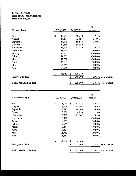## Town of Sorrento Sales and use tax collections Monthly analysis

|           |         |    |         | %                    |                   |
|-----------|---------|----|---------|----------------------|-------------------|
| 2020/2021 |         |    |         | change               |                   |
| \$        | 45,661  | \$ | 68,212  | 49.4%                |                   |
|           | 46,237  |    | 62,855  | 35.9%                |                   |
|           | 44,149  |    | 59,544  | 34.9%                |                   |
|           | 49,239  |    | 50,149  | 1.8%                 |                   |
|           | 55,008  |    | 65,519  | 19.1%                |                   |
|           | 48,054  |    |         | $-100.0\%$           |                   |
|           | 55,732  |    |         | $-100.0\%$           |                   |
|           | 54,201  |    |         | $-100.0\%$           |                   |
|           | 42,238  |    |         | $-100.0\%$           |                   |
|           | 36,101  |    |         | $-100.0\%$           |                   |
|           | 66,767  |    |         | $-100.0\%$           |                   |
|           | 63,565  |    |         |                      |                   |
| \$        | 606,952 | \$ | 306,279 |                      |                   |
|           |         | \$ | 240,294 |                      | 27.5% YoY Change  |
|           |         |    |         |                      | 53.3% % of Budget |
|           |         |    | \$      | 2021/2022<br>575,000 | $-100.0\%$        |

|                             |           |         |      |           | %          |                   |
|-----------------------------|-----------|---------|------|-----------|------------|-------------------|
| <b>Restricted Fund</b>      | 2020/2021 |         |      | 2021/2022 | change     |                   |
| July                        | \$        | 8,058   | - \$ | 12,037    | 49.4%      |                   |
| August                      |           | 8,159   |      | 11,092    | 35.9%      |                   |
| September                   |           | 7,791   |      | 10,508    | 34.9%      |                   |
| October                     |           | 8,689   |      | 8,850     | 1.8%       |                   |
| November                    |           | 9,707   |      | 11,562    | 19.1%      |                   |
| December                    |           | 8,480   |      |           | $-100.0\%$ |                   |
| January                     |           | 9,835   |      |           | $-100.0\%$ |                   |
| February                    |           | 9,565   |      |           | $-100.0\%$ |                   |
| March                       |           | 7,454   |      |           | $-100.0\%$ |                   |
| April                       |           | 6,371   |      |           | $-100.0\%$ |                   |
| May                         |           | 11,782  |      |           | $-100.0\%$ |                   |
| June                        |           | 11,217  |      |           | $-100.0\%$ |                   |
|                             | \$        | 107,109 | \$   | 54,049    |            |                   |
| Prior year to date          |           |         | \$   | 42,405    |            | 27.5% YoY Change  |
| <b>FYE 2021/2022 Budget</b> |           |         | \$   | 97,500    |            | 55.4% % of Budget |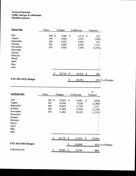## Town of Sorrento Utility charges & collections Monthly analysis

| <b>Sewer fees</b>    | <b>Users</b> | Charges      |              | Collections |      | Variance                 |
|----------------------|--------------|--------------|--------------|-------------|------|--------------------------|
| July                 | 200 \$       | 4,902        | $\mathbf{s}$ | 5,174       | - \$ | 272                      |
| August               | 199          | 4,902        |              | 4,397       |      | (505)                    |
| September            | 200          | 4,922        |              | 5,683       |      | 761                      |
| October              | 203          | 4,982        |              | 6,094       |      | 1,112                    |
| November             | 203          | 5,002        |              | 3,530       |      | (1, 472)                 |
| December             |              |              |              |             |      |                          |
| January              |              |              |              |             |      |                          |
| February             |              |              |              |             |      |                          |
| March                |              |              |              |             |      | $\blacksquare$           |
| April                |              |              |              |             |      |                          |
| May                  |              |              |              |             |      | $\overline{\phantom{a}}$ |
| June                 |              |              |              |             |      | $\blacksquare$           |
|                      |              | 24,710<br>\$ | -\$          | 24,878      | \$   | 168                      |
| FYE 2021/2022 Budget |              |              |              | 60,000      |      | 41% % of Budget          |

| Garbage fees         | Users  | Charges      |    | Collections |    | $\%$<br>Variance |
|----------------------|--------|--------------|----|-------------|----|------------------|
| July                 | 558 \$ | 10,624       | S  | 10,061      | \$ | (563)            |
| August               | 547    | 10,580       |    | 9,220       |    | (1,360)          |
| September            | 548    | 10,624       |    | 11,755      |    | 1,131            |
| October              | 550    | 11,684       |    | 10,528      |    | (1, 156)         |
| November             | 553    | 11,664       |    | 10,352      |    | (1,312)          |
| December             |        |              |    |             |    |                  |
| January              |        |              |    |             |    |                  |
| February             |        |              |    |             |    |                  |
| March                |        |              |    |             |    |                  |
| April                |        |              |    |             |    |                  |
| May                  |        |              |    |             |    |                  |
| June                 |        |              |    |             |    |                  |
|                      |        | 55,176       | \$ | 51,916      | S  | (3,260)          |
| FYE 2021/2022 Budget |        |              | \$ | 130,000     |    | 42% % of Budget  |
| Collection rate      |        | \$<br>79,886 | \$ | 76,794      |    | 96%              |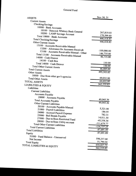| <b>ASSETS</b>                                                  | Nov 30, 21              |
|----------------------------------------------------------------|-------------------------|
| <b>Current Assets</b>                                          |                         |
| Checking/Savings                                               |                         |
| 10000 · Bank Accounts                                          |                         |
| 10100 · Hancock Whitney Bank General                           |                         |
| 10200 · LAMP Savings Account                                   | 267,819.03              |
| Total 10000 · Bank Accounts                                    | 178,599.80              |
| <b>Total Checking/Savings</b>                                  | 446,418.83              |
| Other Current Assets                                           | 446,418.83              |
| 13100 Accounts Receivable-Manual                               |                         |
| 13200 · Allowance for Accounts Receivab                        |                         |
| 13100 · Accounts Receivable-Manual - Other                     | $-100,000.00$           |
| Total 13100 · Accounts Receivable-Manual                       | 146,735.00              |
| 14000 · Cash Drawer                                            | 46,735.00               |
| $14100 \cdot$ Cash Box                                         |                         |
| Total 14000 · Cash Drawer                                      | 150.00                  |
| <b>Total Other Current Assets</b>                              | 150.00                  |
| <b>Total Current Assets</b>                                    | 46,885.00               |
| <b>Other Assets</b>                                            | 493,303.83              |
| $18000 \cdot$ Due from other gov't agencies                    |                         |
| <b>Total Other Assets</b>                                      | 69,032.00               |
| <b>TOTAL ASSETS</b>                                            | 69,032.00               |
| <b>LIABILITIES &amp; EQUITY</b>                                | $\overline{562,335.83}$ |
| Liabilities                                                    |                         |
| <b>Current Liabilities</b>                                     |                         |
| Accounts Payable                                               |                         |
| 20000 · Accounts Payable                                       |                         |
| <b>Total Accounts Payable</b>                                  | 49,045.36               |
| Other Current Liabilities                                      | 49,045.36               |
|                                                                |                         |
| 20100 · Accounts Payable-Manual<br>21000 · Payroll Liabilities | 5,321.00                |
|                                                                | 186.05                  |
| 24000 · Accrued Payroll Expense<br>25000 · Bail Bonds Payable  | 782.31                  |
| 27000 · Due to/from Restricted Fund                            | 14,011.50               |
| 28000 · Due to/from Utility account                            | $-45,358.34$            |
| <b>Total Other Current Liabilities</b>                         | $-111,679.77$           |
| <b>Total Current Liabilities</b>                               | $-136,737.25$           |
| <b>Total Liabilities</b>                                       | $-87,691.89$            |
| Equity                                                         | $-87,691.89$            |
| 31000 · Fund Balance - Unreserved                              |                         |
| Net Income                                                     | 598,237.68              |
| <b>Total Equity</b>                                            | 51,790.04               |
| TOTAL LIABILITIES & EQUITY                                     | 650,027.72              |
|                                                                | 562, 335.83             |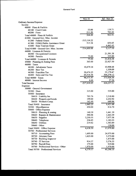|                                         | $\overline{\text{Nov }21}$ | $Jul - Nov 21$ |
|-----------------------------------------|----------------------------|----------------|
| Ordinary Income/Expense                 |                            |                |
| Income                                  |                            |                |
| $40000 \cdot$ Fines & Forfeits          |                            |                |
| $40100 \cdot$ Court Costs               | 53.00                      | 139.71         |
| $40200 \cdot$ Fines                     | 211.20                     | 783.20         |
| Total 40000 · Fines & Forfeits          | 264.20                     | 922.91         |
| 41000 · General Gov. Misc. Income       |                            |                |
| 41200 Federal Grants                    | $-315, 114.22$             |                |
| 41300 · FEMA Public Assistance Grant    | 513.34                     | 654.65         |
| $41600 \cdot$ State Tourism Grant       |                            | 4,462.45       |
| Total 41000 · General Gov. Misc. Income | $-314,600.88$              | 5,117.10       |
| 44000 · Licenses & Permits              |                            |                |
| 44200 · Occupational Licenses           |                            | 21,591.38      |
| $44300 \cdot$ Permits                   | 75.00                      | 225.00         |
| Total 44000 · Licenses & Permits        | 75.00                      | 21,816.38      |
| 45000 · Planning & Zoning Fees          | 365.00                     | 22,427.50      |
| $46000 \cdot \text{Taxes}$              |                            |                |
| 46100 · Advalorem Taxes                 | 10,479.14                  | 10,908.68      |
| $46200 \cdot$ Beer Tax                  |                            | 1,559.09       |
| 46300 · Franchise Tax                   | 20,474.25                  | 55,179.47      |
| $46400 \cdot$ Sales and Use Tax         | 65,518.58                  | 306,279.12     |
| Total $46000 \cdot$ Taxes               | 96,471.97                  | 373,926.36     |
| $48000 \cdot$ Interest Income           | 6.66                       | 27.26          |
| <b>Total Income</b>                     | $-217,418.05$              | 424,237.51     |
| Expense                                 |                            |                |
| 50000 General Government                |                            |                |
| $50300 \cdot$ Dues                      | 315.00                     | 535.00         |
| $50400 \cdot$ Insurance                 |                            |                |
| 50410 · Liability Ins                   | 703.76                     | 3,518.80       |
| $50420 \cdot$ Property and bonds        | 199.00                     | 2,252.92       |
| 50430 · Workers Comp.                   | 162.49                     | 649.96         |
| Total $50400 \cdot$ Insurance           | 1,065.25                   | 6,421.68       |
| 50500 · Miscellaneous                   | 450.00                     | 816.70         |
| 50600 · Office Expense                  |                            |                |
| 50610 · Planning & zoning               | 140.39                     | 1,441.39       |
| 50620 · Repairs & Maintenance           | 590.98                     | 1,663.39       |
| $50630 \cdot$ Supplies                  | 3,250.55                   | 7,977.58       |
| 50640 · Telephone                       | 236.85                     | 1,183.55       |
| 50650 · Utilities                       | 219.82                     | 1,583.89       |
| $50660 \cdot$ Other                     |                            | 130.00         |
| Total 50600 · Office Expense            | 4,438.59                   | 13,979.80      |
| 50700 · Professional Services           |                            |                |
| 50710 Accounting Fees                   | 1,695.00                   | 24,975.00      |
| 50720 · Attorney Fees                   | 1,625.00                   | 5,375.00       |
| 50730 · Building Inspector              |                            | 1,475.00       |
| 50740 · IT Services                     | 914.37                     | 5,576.35       |
| 50750 · Payroll Fees                    | 175.00                     | 919.00         |
| 50760 · Professional Services - Other   | 1,970.00                   | 1,970.00       |
| Total 50700 · Professional Services     | 6,379.37                   | 40,290.35      |
|                                         |                            |                |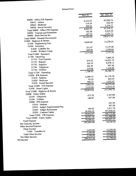|                                  | $\overline{\text{Nov }21}$ | $\overline{Jul}$ - Nov 21 |  |
|----------------------------------|----------------------------|---------------------------|--|
| 50800 · Office P/R Expense       |                            |                           |  |
| $50810 \cdot$ Admin              | 8,216.43                   | 43,920.74<br>636.70       |  |
| 50820 · Medicare                 | 119.16                     | 3,376.77                  |  |
| 50830 · Social Secuirty          | 509.42                     |                           |  |
| Total 50800 · Office P/R Expense | 8,845.01                   | 47,934.21                 |  |
| 50900 · Tourism and Promotion    | 163.38                     | 8,242.50                  |  |
| 50999 · Bank Service fee         | 447.33                     | 2,251.71                  |  |
| Total 50000 · General Government | 22,103.93                  | 120,471.95                |  |
| 51000 · Highway & Streets        |                            |                           |  |
| 51500 · Engineering Fees         | 9,609.00                   | 13,270.25                 |  |
| $51600 \cdot \text{ Insurance}$  |                            |                           |  |
| 51620 · Liability Ins.           | 521.87                     | 5,137.48                  |  |
| 51640 · Workers Comp             | 649.96                     | 2,599.84                  |  |
| Total 51600 · Insurance          | 1,171.83                   | 7,737.32                  |  |
| 51700 Operating                  |                            |                           |  |
| 51710 · Fuel Expense             |                            | 7,866.24                  |  |
| $51720 \cdot$ Repairs            | 479.22                     | 14,822.19                 |  |
| $51730 \cdot$ Supplies           | 706.19                     | 9,478.13                  |  |
| $51740 \cdot$ Telephone          | 304.45                     | 997.36                    |  |
| 51750 · Utilities                | 219.06                     | 1,224.80                  |  |
| Total $51700 \cdot$ Operating    | 1,708.92                   | 34,388.72                 |  |
| 51800 · P/R Expense              |                            |                           |  |
| $51810 \cdot$ Salaries           | 6,589.33                   | 41,736.38                 |  |
| 51820 · Medicare                 | 95.53                      | 605.03                    |  |
| 51830 · Social Security          | 408.53                     | 1,932.67                  |  |
|                                  | 7,093.39                   | 44,274.08                 |  |
| Total 51800 · P/R Expense        | 2,439.90                   | 12,074.35                 |  |
| 51950 · Street Lights            | 22,023.04                  | 111,744.72                |  |
| Total 51000 · Highway & Streets  |                            |                           |  |
| 52000 · Public Safety            | 473.70                     | 2,367.09                  |  |
| 52100 · Telephone                | 148.87                     | 937.86                    |  |
| $52200 \cdot$ Utilities          |                            |                           |  |
| 52800 $\cdot$ P/R Expense        |                            | 243.98                    |  |
| 52810 · Salaries                 |                            | 487.86                    |  |
| 52835 · Judge's Supplemental Pay | 348.82                     | 1,013.76                  |  |
| 52840 · Judges Retirement        | 29,486.05                  | 147,430.25                |  |
| 52850 · Contract Labor           | 29,834.87                  | 149, 175.85               |  |
| Total 52800 · P/R Expense        | 30,457.44                  | 152,480.80                |  |
| Total 52000 · Public Safety      | 74,584.41                  | 384,697.47                |  |
| <b>Total Expense</b>             | $-292,002.46$              | 39,540.04                 |  |
| Net Ordinary Income              |                            |                           |  |
| Other Income/Expense             |                            |                           |  |
| Other Income                     |                            | 12,250.00                 |  |
| 71400 Transfers In               | 2,450.00                   | 12,250.00                 |  |
| <b>Total Other Income</b>        | 2,450.00                   | 12,250.00                 |  |
| Net Other Income                 | 2,450.00                   |                           |  |
| Net Income                       | $-289,552.46$              | 51,790.04                 |  |
|                                  |                            |                           |  |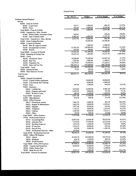|                                                          | $\overline{Jul}$ - Nov 21 | <b>Budget</b> | \$ Over Budget | % of Budget |
|----------------------------------------------------------|---------------------------|---------------|----------------|-------------|
| Ordinary Income/Expense                                  |                           |               |                |             |
| Income                                                   |                           |               |                |             |
| $40000 \cdot$ Fines & Forfeits                           |                           | 1,000.00      | $-860.29$      | 13.97%      |
| 40100 · Court Costs                                      | 139.71<br>783.20          | 3,000.00      | $-2,216.80$    | 26.11%      |
| $40200 \cdot$ Fines                                      | 922.91                    | 4,000.00      | $-3,077.09$    | 23.07%      |
| Total 40000 · Fines & Forfeits                           |                           |               |                |             |
| 41000 · General Gov. Misc. Income                        | 654.65                    |               | 654.65         | 100.0%      |
| 41300 · FEMA Public Assistance Grant                     | 4,462.45                  | 6,000.00      | $-1,537.55$    | 74.37%      |
| $41600 \cdot$ State Tourism Grant                        | 5,117.10                  | 6,000.00      | $-882.90$      | 85.29%      |
| Total 41000 · General Gov. Misc. Income                  |                           | 10,300.00     | $-10,300.00$   |             |
| 42000 Grass Cutting Revenue                              |                           |               |                |             |
| $44000 \cdot$ Licenses & Permits                         |                           | 1,000.00      | $-1,000.00$    |             |
| 44100 · Beer & Liquor Licenses                           | 21,591.38                 | 100,000.00    | $-78,408,62$   | 21.59%      |
| 44200 · Occupational Licenses<br>$44300 \cdot$ Permits   | 225.00                    | 300.00        | $-75.00$       | 75.0%       |
|                                                          | 21,816.38                 | 101,300.00    | $-79,483.62$   | 21.54%      |
| Total $44000 \cdot$ Licenses & Permits                   | 22,427.50                 | 1,200.00      | 21,227.50      | 1,868.96%   |
| 45000 · Planning & Zoning Fees                           |                           |               |                |             |
| $46000 \cdot$ Taxes<br>46100 · Advalorem Taxes           | 10,908.68                 | 72,000.00     | $-61,091.32$   | 15.15%      |
| $46200 \cdot$ Beer Tax                                   | 1,559.09                  | 3,000.00      | $-1,440.91$    | 51.97%      |
|                                                          | 55,179.47                 | 92,500.00     | $-37,320.53$   | 59.65%      |
| 46300 · Franchise Tax<br>$46400 \cdot$ Sales and Use Tax | 306,279.12                | 575,000.00    | $-268,720.88$  | 53.27%      |
|                                                          | 373,926.36                | 742,500.00    | $-368,573.64$  | 50.36%      |
| Total $46000 \cdot$ Taxes<br>48000 · Interest Income     | 27.26                     | 500.00        | $-472.74$      | 5.45%       |
| $49000 \cdot$ Miscellaneous Income                       |                           | 500.00        | $-500.00$      |             |
|                                                          | 424,237.51                | 866,300.00    | $-442,062.49$  | 48.97%      |
| <b>Total Income</b><br>Expense                           |                           |               |                |             |
| 50000 General Government                                 |                           |               |                |             |
| 50120 · Capital Outlay-equipment                         |                           | 10,000.00     | $-10,000.00$   |             |
| 50200 · Conventions and Training                         |                           | 4,000.00      | $-4,000.00$    |             |
| $50300 \cdot$ Dues                                       | 535.00                    | 1,500.00      | $-965.00$      | 35.67%      |
| 50400 · Insurance                                        |                           |               |                |             |
| $50410 \cdot$ Liability Ins                              | 3,518.80                  | 12,000.00     | $-8,481.20$    | 29.32%      |
| $50420 \cdot$ Property and bonds                         | 2,252.92                  | 3,000.00      | $-747.08$      | 75.1%       |
| $50430 \cdot$ Workers Comp.                              | 649.96                    | 2,500.00      | $-1,850.04$    | 26.0%       |
| Total 50400 · Insurance                                  | 6,421.68                  | 17,500.00     | $-11,078.32$   | 36.7%       |
| $50500 \cdot$ Miscellaneous                              | 816.70                    | 500.00        | 316.70         | 163.34%     |
| 50600 · Office Expense                                   |                           |               |                |             |
| $50610 \cdot$ Planning & zoning                          | 1,441.39                  | 1,000.00      | 441.39         | 144.14%     |
| 50620 · Repairs & Maintenance                            | 1,663.39                  | 5,000.00      | $-3,336.61$    | 33.27%      |
| $50630 \cdot$ Supplies                                   | 7,977.58                  | 8,500.00      | $-522.42$      | 93.85%      |
| 50640 · Telephone                                        | 1,183.55                  | 2,800.00      | $-1,616.45$    | 42.27%      |
| 50650 · Utilities                                        | 1,583.89                  | 9,500.00      | $-7,916.11$    | 16.67%      |
| $50660 \cdot$ Other                                      | 130.00                    | 500.00        | $-370.00$      | 26.0%       |
| Total $50600 \cdot$ Office Expense                       | 13,979.80                 | 27,300.00     | $-13,320.20$   | 51.21%      |
| 50700 · Professional Services                            |                           |               |                |             |
| $50710 \cdot$ Accounting Fees                            | 24,975.00                 | 55,000.00     | $-30,025.00$   | 45.41%      |
| 50720 · Attorney Fees                                    | 5,375.00                  | 17,500.00     | $-12,125.00$   | 30.71%      |
| $50730 \cdot$ Building Inspector                         | 1,475.00                  | 2,500.00      | $-1,025.00$    | 59.0%       |
| $50740 \cdot IT$ Services                                | 5,576.35                  | 6,000.00      | -423.65        | 92.94%      |
| 50750 · Payroll Fees                                     | 919.00                    | 2,600.00      | $-1,681.00$    | 35.35%      |
| 50760 · Professional Services - Other                    | 1,970.00                  |               |                |             |
| Total $50700 \cdot$ Professional Services                | 40,290.35                 | 83,600.00     | $-43,309.65$   | 48.19%      |
| 50800 · Office P/R Expense                               |                           |               |                |             |
| $50810 \cdot$ Admin                                      | 43,920.74                 | 103,000.00    | $-59,079.26$   | 42.64%      |
| 50820 · Medicare                                         | 636.70                    | 1,500.00      | $-863.30$      | 42.45%      |
| 50830 · Social Secuirty                                  | 3,376.77                  | 6,400.00      | $-3,023.23$    | 52.76%      |
| Total $50800 \cdot$ Office P/R Expense                   | 47,934.21                 | 110,900.00    | $-62,965.79$   | 43.22%      |
| 50900 · Tourism and Promotion                            | 8,242.50                  | 6,500.00      | 1,742.50       | 126.81%     |
| 50995 · Public Notice Fees                               |                           | 1,500.00      | $-1,500.00$    |             |
| 50999 Bank Service fee                                   | 2,251.71                  | 1,000.00      | 1,251.71       | 225.17%     |
| Total 50000 · General Government                         | 120,471.95                | 264,300.00    | $-143,828.05$  | 45.58%      |

 $\bar{\lambda}$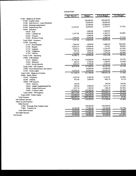|                                       | $Jul - Nov 21$ | <b>Budget</b> | \$ Over Budget | % of Budget |
|---------------------------------------|----------------|---------------|----------------|-------------|
| 51000 · Highway & Streets             |                |               |                |             |
| 51200 · Capital outlay                |                | 100,000.00    | $-100,000.00$  |             |
| 51300 · Debt Service - Lease Payments |                | 24,000.00     | $-24,000.00$   |             |
| $51400 \cdot$ Drainage maintenance    |                | 25,000.00     | $-25,000.00$   |             |
| 51500 · Engineering Fees              | 13,270.25      | 18,000.00     | $-4,729.75$    | 73.72%      |
| $51600 \cdot \text{Insurance}$        |                |               |                |             |
| $51610 \cdot$ Auto                    |                | 1,800.00      | $-1,800.00$    | 54.08%      |
| $51620 \cdot$ Liability Ins.          | 5,137.48       | 9,500.00      | $-4,362.52$    |             |
| $51630 \cdot Tractors$                |                | 3,000.00      | $-3,000.00$    | 27.37%      |
| $51640 \cdot$ Workers Comp            | 2,599.84       | 9,500.00      | $-6,900.16$    | 32.51%      |
| Total 51600 · Insurance               | 7,737.32       | 23,800.00     | $-16,062.68$   |             |
| $51700 \cdot$ Operating               |                |               |                |             |
| 51710 · Fuel Expense                  | 7,866.24       | 1,000.00      | 6,866.24       | 786.62%     |
| $51720 \cdot Repairs$                 | 14,822.19      | 15,000.00     | $-177.81$      | 98.82%      |
| $51730 \cdot$ Supplies                | 9,478.13       | 15,000.00     | $-5,521.87$    | 63.19%      |
| 51740 · Telephone                     | 997.36         | 3,000.00      | $-2,002.64$    | 33.25%      |
| $51750 \cdot$ Utilities               | 1,224.80       | 2,500.00      | $-1,275.20$    | 48.99%      |
| Total $51700 \cdot$ Operating         | 34,388.72      | 36,500.00     | $-2,111.28$    | 94.22%      |
| 51800 · P/R Expense                   |                |               |                |             |
| $51810 \cdot$ Salaries                | 41,736.38      | 118,000.00    | $-76,263.62$   | 35.37%      |
| 51820 · Medicare                      | 605.03         | 1,700.00      | $-1,094.97$    | 35.59%      |
| 51830 · Social Security               | 1,932.67       | 7,700.00      | $-5,767.33$    | 25.1%       |
| Total 51800 · P/R Expense             | 44,274.08      | 127,400.00    | $-83,125.92$   | 34.75%      |
| 51900 · Road Maintenance and repairs  |                | 25,000.00     | $-25,000.00$   |             |
| $51950 \cdot$ Street Lights           | 12,074.35      | 32,000.00     | $-19,925.65$   | 37.73%      |
| Total 51000 · Highway & Streets       | 111,744.72     | 411,700.00    | $-299,955.28$  | 27.14%      |
| 52000 · Public Safety                 |                |               |                |             |
| $52100 \cdot$ Telephone               | 2,367.09       | 5,500.00      | $-3.132.91$    | 43.04%      |
| $52200 \cdot$ Utilities               | 937.86         | 1,800.00      | $-862.14$      | 52.1%       |
| 52800 · P/R Expense                   |                |               |                |             |
| $52810 \cdot$ Salaries                | 243.98         |               | 243.98         | 100.0%      |
| 52835 · Judge's Supplemental Pay      | 487.86         | 3,000.00      | $-2,512.14$    | 16.26%      |
| 52840 · Judges Retirement             | 1,013.76       | 1,200.00      | $-186.24$      | 84.48%      |
| 52850 · Contract Labor                | 147,430.25     | 355,000.00    | $-207,569.75$  | 41.53%      |
| Total 52800 · P/R Expense             | 149,175.85     | 359,200.00    | $-210,024.15$  | 41.53%      |
| Total 52000 · Public Safety           | 152,480.80     | 366,500.00    | $-214,019.20$  | 41.61%      |
| <b>Total Expense</b>                  | 384,697.47     | 1,042,500.00  | $-657,802.53$  | 36.9%       |
| Net Ordinary Income                   | 39,540.04      | $-176,200.00$ | 215,740.04     | $-22.44%$   |
| Other Income/Expense                  |                |               |                |             |
| Other Income                          |                |               |                |             |
| 71300 · Proceeds from Capital Lease   |                | 100,000.00    | $-100,000.00$  |             |
| $71400 \cdot$ Transfers In            | 12,250.00      | 37,400.00     | $-25,150.00$   | 32.75%      |
| <b>Total Other Income</b>             | 12,250.00      | 137,400.00    | $-125,150.00$  | 8.92%       |
| Net Other Income                      | 12,250.00      | 137,400.00    | $-125, 150.00$ | 8.92%       |
| Net Income                            | 51,790.04      | $-38,800.00$  | 90,590.04      | $-133.48%$  |
|                                       |                |               |                |             |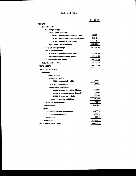# Restricted Fund

|                                        | Nov 30, 21 |
|----------------------------------------|------------|
| <b>ASSETS</b>                          |            |
| <b>Current Assets</b>                  |            |
| <b>Checking/Savings</b>                |            |
| 10000 · Bank accounts                  |            |
| 10100 Hancock Whitney Rest. Oper.      | 98,808.87  |
| 10200 · Hancock Whitney SCC Deposit    | 11,547.01  |
| 10300 · Savings Account-LAMP           | 0.16       |
| Total 10000 · Bank accounts            | 110,356.04 |
| <b>Total Checking/Savings</b>          | 110,356.04 |
| <b>Other Current Assets</b>            |            |
| 12000 Due from other govt. units       | 93,358.00  |
| 14000 · Due to/from General Fund       | -45,358.34 |
| <b>Total Other Current Assets</b>      | 47,999.66  |
| <b>Total Current Assets</b>            | 158,355.70 |
| TOTAL ASSETS                           | 158,355.70 |
| <b>LIABILITIES &amp; EQUITY</b>        |            |
| <b>Liabilities</b>                     |            |
| <b>Current Liabilities</b>             |            |
| <b>Accounts Payable</b>                |            |
| 20000 · Accounts Payable               | 14,300.92  |
| <b>Total Accounts Payable</b>          | 14,300.92  |
| <b>Other Current Liabilities</b>       |            |
| 21000 · Accounts Payable - Manual      | 9,300.00   |
| 23000 · Community Center Deposit       | 10,500.00  |
| 25000 · Unclaimed Forfeitures          | 2.650.69   |
| <b>Total Other Current Liabilities</b> | 22,450.69  |
| <b>Total Current Liabilities</b>       | 36,751.61  |
| <b>Total Liabilities</b>               | 36,751.61  |
| <b>Equity</b>                          |            |
| 30000 · Fund Balance - Reserved        | 44,739.72  |
| 32000 · Retained Earnings              | 76,001.00  |
| <b>Net Income</b>                      | 863.37     |
| <b>Total Equity</b>                    | 121,604.09 |
| TOTAL LIABILITIES & EQUITY             | 158,355.70 |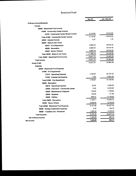## Restricted Fund

| Ordinary Income/Expense<br>Income<br>40000 · Restricted Fund Income<br>41000 Community Center Income<br>16,510.00<br>2,115.00<br>41010 · Community Center Rental Income<br>16,510.00<br>2,115.00<br>Total 41000 · Community Center Income<br>1.33<br>0.27<br>44000 · Interest Income<br>46000 Sales & Use Taxes<br>18,016.42<br>3,854.03<br>46010 · Fire Department<br>18,016.42<br>3.854.04<br>46020 · Recreation<br>18,016.42<br>3,854.03<br>46030 · Senior Citizens<br>54,049.26<br>11,562.10<br>Total 46000 · Sales & Use Taxes<br>13,677.37<br>Total 40000 · Restricted Fund Income<br>13,677.37<br><b>Total Income</b><br>13,677.37<br><b>Gross Profit</b><br><b>Expense</b><br>50000 · Restricted Fund Expense<br>51000 - Fire Department<br>1,736.67<br>51010 Operating Expense<br>0.00<br>51030 · Engneering Expense<br>1,736.67<br>Total 51000 Fire Department<br>52000 Recreation<br>30.00<br>52010 Operating Expense<br>0.00<br>52040 · Insurance - Community Center<br>100.00<br>52045 · Maintenance & Repairs<br>149.40<br>52050 · Supplies<br>909.31<br>$52060 \cdot$ Utilities<br>1,188.71<br>Total 52000 · Recreation<br>2,226.00<br>53000 · Senior Citizen<br>5,151.38<br>Total 50000 · Restricted Fund Expense<br>0.00<br>54000 · Holiday Celebration Expense<br>1,225.00<br>56000 · Transfers Out - Personnel<br>6,376.38<br><b>Total Expense</b><br>7,300.99<br><b>Net Ordinary Income</b><br>7,300.99 |            | <b>Nov 21</b> | <b>Jul - Nov 21</b> |
|-----------------------------------------------------------------------------------------------------------------------------------------------------------------------------------------------------------------------------------------------------------------------------------------------------------------------------------------------------------------------------------------------------------------------------------------------------------------------------------------------------------------------------------------------------------------------------------------------------------------------------------------------------------------------------------------------------------------------------------------------------------------------------------------------------------------------------------------------------------------------------------------------------------------------------------------------------------------------------------------------------------------------------------------------------------------------------------------------------------------------------------------------------------------------------------------------------------------------------------------------------------------------------------------------------------------------------------------------------------------------------------------------------------------------------|------------|---------------|---------------------|
|                                                                                                                                                                                                                                                                                                                                                                                                                                                                                                                                                                                                                                                                                                                                                                                                                                                                                                                                                                                                                                                                                                                                                                                                                                                                                                                                                                                                                             |            |               |                     |
| 70,560.59<br>70,560.59                                                                                                                                                                                                                                                                                                                                                                                                                                                                                                                                                                                                                                                                                                                                                                                                                                                                                                                                                                                                                                                                                                                                                                                                                                                                                                                                                                                                      |            |               |                     |
| 70,560.59<br>25,731.57<br>12,051.25<br>37,782.82<br>2,482.35<br>5,919.92<br>1,189.85<br>717.95<br>6,150.63<br>16,460.70<br>9,164.00<br>63,407.52<br>164.70<br>6,125.00<br>69,697.22<br>863.37<br>863.37                                                                                                                                                                                                                                                                                                                                                                                                                                                                                                                                                                                                                                                                                                                                                                                                                                                                                                                                                                                                                                                                                                                                                                                                                     |            |               |                     |
|                                                                                                                                                                                                                                                                                                                                                                                                                                                                                                                                                                                                                                                                                                                                                                                                                                                                                                                                                                                                                                                                                                                                                                                                                                                                                                                                                                                                                             |            |               |                     |
|                                                                                                                                                                                                                                                                                                                                                                                                                                                                                                                                                                                                                                                                                                                                                                                                                                                                                                                                                                                                                                                                                                                                                                                                                                                                                                                                                                                                                             |            |               |                     |
|                                                                                                                                                                                                                                                                                                                                                                                                                                                                                                                                                                                                                                                                                                                                                                                                                                                                                                                                                                                                                                                                                                                                                                                                                                                                                                                                                                                                                             |            |               |                     |
|                                                                                                                                                                                                                                                                                                                                                                                                                                                                                                                                                                                                                                                                                                                                                                                                                                                                                                                                                                                                                                                                                                                                                                                                                                                                                                                                                                                                                             |            |               |                     |
|                                                                                                                                                                                                                                                                                                                                                                                                                                                                                                                                                                                                                                                                                                                                                                                                                                                                                                                                                                                                                                                                                                                                                                                                                                                                                                                                                                                                                             |            |               |                     |
|                                                                                                                                                                                                                                                                                                                                                                                                                                                                                                                                                                                                                                                                                                                                                                                                                                                                                                                                                                                                                                                                                                                                                                                                                                                                                                                                                                                                                             |            |               |                     |
|                                                                                                                                                                                                                                                                                                                                                                                                                                                                                                                                                                                                                                                                                                                                                                                                                                                                                                                                                                                                                                                                                                                                                                                                                                                                                                                                                                                                                             |            |               |                     |
|                                                                                                                                                                                                                                                                                                                                                                                                                                                                                                                                                                                                                                                                                                                                                                                                                                                                                                                                                                                                                                                                                                                                                                                                                                                                                                                                                                                                                             |            |               |                     |
|                                                                                                                                                                                                                                                                                                                                                                                                                                                                                                                                                                                                                                                                                                                                                                                                                                                                                                                                                                                                                                                                                                                                                                                                                                                                                                                                                                                                                             |            |               |                     |
|                                                                                                                                                                                                                                                                                                                                                                                                                                                                                                                                                                                                                                                                                                                                                                                                                                                                                                                                                                                                                                                                                                                                                                                                                                                                                                                                                                                                                             |            |               |                     |
|                                                                                                                                                                                                                                                                                                                                                                                                                                                                                                                                                                                                                                                                                                                                                                                                                                                                                                                                                                                                                                                                                                                                                                                                                                                                                                                                                                                                                             |            |               |                     |
|                                                                                                                                                                                                                                                                                                                                                                                                                                                                                                                                                                                                                                                                                                                                                                                                                                                                                                                                                                                                                                                                                                                                                                                                                                                                                                                                                                                                                             |            |               |                     |
|                                                                                                                                                                                                                                                                                                                                                                                                                                                                                                                                                                                                                                                                                                                                                                                                                                                                                                                                                                                                                                                                                                                                                                                                                                                                                                                                                                                                                             |            |               |                     |
|                                                                                                                                                                                                                                                                                                                                                                                                                                                                                                                                                                                                                                                                                                                                                                                                                                                                                                                                                                                                                                                                                                                                                                                                                                                                                                                                                                                                                             |            |               |                     |
|                                                                                                                                                                                                                                                                                                                                                                                                                                                                                                                                                                                                                                                                                                                                                                                                                                                                                                                                                                                                                                                                                                                                                                                                                                                                                                                                                                                                                             |            |               |                     |
|                                                                                                                                                                                                                                                                                                                                                                                                                                                                                                                                                                                                                                                                                                                                                                                                                                                                                                                                                                                                                                                                                                                                                                                                                                                                                                                                                                                                                             |            |               |                     |
|                                                                                                                                                                                                                                                                                                                                                                                                                                                                                                                                                                                                                                                                                                                                                                                                                                                                                                                                                                                                                                                                                                                                                                                                                                                                                                                                                                                                                             |            |               |                     |
|                                                                                                                                                                                                                                                                                                                                                                                                                                                                                                                                                                                                                                                                                                                                                                                                                                                                                                                                                                                                                                                                                                                                                                                                                                                                                                                                                                                                                             |            |               |                     |
|                                                                                                                                                                                                                                                                                                                                                                                                                                                                                                                                                                                                                                                                                                                                                                                                                                                                                                                                                                                                                                                                                                                                                                                                                                                                                                                                                                                                                             |            |               |                     |
|                                                                                                                                                                                                                                                                                                                                                                                                                                                                                                                                                                                                                                                                                                                                                                                                                                                                                                                                                                                                                                                                                                                                                                                                                                                                                                                                                                                                                             |            |               |                     |
|                                                                                                                                                                                                                                                                                                                                                                                                                                                                                                                                                                                                                                                                                                                                                                                                                                                                                                                                                                                                                                                                                                                                                                                                                                                                                                                                                                                                                             |            |               |                     |
|                                                                                                                                                                                                                                                                                                                                                                                                                                                                                                                                                                                                                                                                                                                                                                                                                                                                                                                                                                                                                                                                                                                                                                                                                                                                                                                                                                                                                             |            |               |                     |
|                                                                                                                                                                                                                                                                                                                                                                                                                                                                                                                                                                                                                                                                                                                                                                                                                                                                                                                                                                                                                                                                                                                                                                                                                                                                                                                                                                                                                             |            |               |                     |
|                                                                                                                                                                                                                                                                                                                                                                                                                                                                                                                                                                                                                                                                                                                                                                                                                                                                                                                                                                                                                                                                                                                                                                                                                                                                                                                                                                                                                             |            |               |                     |
|                                                                                                                                                                                                                                                                                                                                                                                                                                                                                                                                                                                                                                                                                                                                                                                                                                                                                                                                                                                                                                                                                                                                                                                                                                                                                                                                                                                                                             |            |               |                     |
|                                                                                                                                                                                                                                                                                                                                                                                                                                                                                                                                                                                                                                                                                                                                                                                                                                                                                                                                                                                                                                                                                                                                                                                                                                                                                                                                                                                                                             |            |               |                     |
|                                                                                                                                                                                                                                                                                                                                                                                                                                                                                                                                                                                                                                                                                                                                                                                                                                                                                                                                                                                                                                                                                                                                                                                                                                                                                                                                                                                                                             |            |               |                     |
|                                                                                                                                                                                                                                                                                                                                                                                                                                                                                                                                                                                                                                                                                                                                                                                                                                                                                                                                                                                                                                                                                                                                                                                                                                                                                                                                                                                                                             |            |               |                     |
|                                                                                                                                                                                                                                                                                                                                                                                                                                                                                                                                                                                                                                                                                                                                                                                                                                                                                                                                                                                                                                                                                                                                                                                                                                                                                                                                                                                                                             |            |               |                     |
|                                                                                                                                                                                                                                                                                                                                                                                                                                                                                                                                                                                                                                                                                                                                                                                                                                                                                                                                                                                                                                                                                                                                                                                                                                                                                                                                                                                                                             |            |               |                     |
|                                                                                                                                                                                                                                                                                                                                                                                                                                                                                                                                                                                                                                                                                                                                                                                                                                                                                                                                                                                                                                                                                                                                                                                                                                                                                                                                                                                                                             |            |               |                     |
|                                                                                                                                                                                                                                                                                                                                                                                                                                                                                                                                                                                                                                                                                                                                                                                                                                                                                                                                                                                                                                                                                                                                                                                                                                                                                                                                                                                                                             | Net Income |               |                     |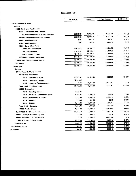### Restricted Fund

|                                        | Jul - Nov 21 | Budget     | \$ Over Budget | % of Budget |
|----------------------------------------|--------------|------------|----------------|-------------|
| Ordinary Income/Expense                |              |            |                |             |
| Income                                 |              |            |                |             |
| 40000 · Restricted Fund Income         |              |            |                |             |
| 41000 Community Center Income          |              |            |                |             |
| 41010 · Community Center Rental Income | 16,510.00    | 10,000.00  | 6,510.00       | 165.1%      |
| Total 41000 · Community Center Income  | 16,510.00    | 10,000.00  | 6,510.00       | 165.1%      |
| 44000 · Interest Income                | 1.33         | 3,000.00   | -2.998.67      | 0.04%       |
| 45000 · Miscellaneous                  | 0.00         | 400.00     | $-400.00$      | 0.0%        |
| 46000 · Sales & Use Taxes              |              |            |                |             |
| 46010 · Fire Department                | 18,016.42    | 32,500.00  | $-14,483.58$   | 55.44%      |
| 46020 · Recreation                     | 18,016.42    | 32,500.00  | -14,483.58     | 55.44%      |
| 46030 · Senior Citizens                | 18,016.42    | 32,500.00  | $-14,483.58$   | 55.44%      |
| Total 46000 · Sales & Use Taxes        | 54,049.26    | 97,500.00  | -43,450.74     | 55.44%      |
| Total 40000 · Restricted Fund Income   | 70,560.59    | 110,900.00 | -40,339.41     | 63.63%      |
| <b>Total Income</b>                    | 70,560.59    | 110,900.00 | -40,339.41     | 63.63%      |
| <b>Gross Profit</b>                    | 70,560.59    | 110,900.00 | -40,339.41     | 63.63%      |
| <b>Expense</b>                         |              |            |                |             |
| 50000 · Restricted Fund Expense        |              |            |                |             |
| 51000 · Fire Department                |              |            |                |             |
| 51010 Operating Expense                | 25,731.57    | 20,500.00  | 5,231.57       | 125.52%     |
| 51030 · Engneering Expense             | 12,051.25    |            |                |             |
| 51040 · Personnel Reimbursement        | 0.00         | 12,000.00  | $-12,000.00$   | 0.0%        |
| Total 51000 · Fire Department          | 37,782.82    | 32,500.00  | 5.282.82       | 116.26%     |
| 52000 · Recreation                     |              |            |                |             |
| 52010 Operating Expense                | 2,482.35     |            |                |             |
| 52040 · Insurance - Community Center   | 5,919.92     | 5,000.00   | 919.92         | 118.4%      |
| 52045 Maintenance & Repairs            | 1,189.85     | 4,000.00   | $-2,810.15$    | 29.75%      |
| 52050 · Supplies                       | 717.95       | 800.00     | $-82.05$       | 89.74%      |
| 52060 · Utilities                      | 6,150.63     | 12,000.00  | $-5,849.37$    | 51.26%      |
| Total 52000 · Recreation               | 16,460.70    | 21,800.00  | $-5,339.30$    | 75.51%      |
| 53000 · Senior Citizen                 | 9,164.00     | 30,000.00  | -20,836.00     | 30.55%      |
| Total 50000 · Restricted Fund Expense  | 63,407.52    | 84,300.00  | $-20,892.48$   | 75.22%      |
| 54000 · Holiday Celebration Expense    | 164.70       | 500.00     | $-335.30$      | 32.94%      |
| 55000 Transfers Out - Debt Service     | 0.00         | 4,000.00   | $-4,000.00$    | 0.0%        |
| 56000 · Transfers Out - Personnel      | 6,125.00     | 14,700.00  | $-8,575.00$    | 41.67%      |
| <b>Total Expense</b>                   | 69,697.22    | 103,500.00 | $-33,802.78$   | 67.34%      |
| <b>Net Ordinary Income</b>             | 863.37       | 7,400.00   | -6,536.63      | 11.67%      |
| Net Income                             | 863.37       | 7,400.00   | $-6,536.63$    | 11.67%      |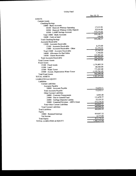## Utility Fund

|                                           | Nov 30, 21      |
|-------------------------------------------|-----------------|
| <b>ASSETS</b>                             |                 |
| <b>Current Assets</b>                     |                 |
| Checking/Savings                          |                 |
| 10000 · Bank Accounts                     |                 |
| 10100 · Hancock Whitney Operating         | 17,215.95       |
| 10200 · Hancock Whitney Utility Deposit   | 22,816.00       |
| 10300 · LAMP Savings Account              | 315,114.22      |
| Total 10000 · Bank Accounts               | 355,146.17      |
| $10400 \cdot$ Cash on hand                | 100.00          |
| <b>Total Checking/Savings</b>             | 355,246.17      |
| <b>Accounts Receivable</b>                |                 |
| 13000 Accounts Receivable                 |                 |
| 13100 Accounts Receivable                 | 6,373.00        |
| $13000 \cdot$ Accounts Receivable - Other | 21,372.22       |
| Total $13000 \cdot$ Accounts Receivable   | 27,745.22       |
| 14000 Allowance for Bad Debts             | $-7,700.00$     |
| 14500 · Grants Receivable                 | 123,291.65      |
| <b>Total Accounts Receivable</b>          | 143,336.87      |
| <b>Total Current Assets</b>               | 498,583.04      |
| <b>Fixed Assets</b>                       |                 |
| 15100 Fixed Assets                        | 1,174,803.39    |
| $15200 \cdot$ Land                        | 60,366.00       |
| 15300 Water Tower                         | 773,283.00      |
| 15400 · Accum. Depreciation-Water Tower   | $-1,125,761.49$ |
| <b>Total Fixed Assets</b>                 | 882,690.90      |
| <b>TOTAL ASSETS</b>                       | 1,381,273.94    |
|                                           |                 |
| <b>LIABILITIES &amp; EQUITY</b>           |                 |
| Liabilities                               |                 |
| <b>Current Liabilities</b>                |                 |
| <b>Accounts Payable</b>                   | 13,232.11       |
| 20000 · Accounts Payable                  | 13,232.11       |
| <b>Total Accounts Payable</b>             |                 |
| Other Current Liabilities                 | 4,943.00        |
| 24000 · Customer Prepayments              | 111,679.77      |
| $25000 \cdot$ Due to General Fund         | 23,125.32       |
| 26000 · Garbage Deposits Liabilty         | 315,114.22      |
| 28000 · Unearned Revenue - ARPA Grant     | 454,862.31      |
| <b>Total Other Current Liabilities</b>    |                 |
| <b>Total Current Liabilities</b>          | 468,094.42      |
| <b>Total Liabilities</b>                  | 468,094.42      |
| Equity                                    |                 |
| 30000 · Retained Earnings                 | 919,957.32      |
| Net Income                                | $-6,777.80$     |
| <b>Total Equity</b>                       | 913,179.52      |
| TOTAL LIABILITIES & EQUITY                | 1,381,273.94    |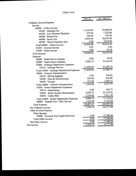## Utility Fund

|                                           | $\overline{\text{Nov}}$ 21 | $\overline{Jul}$ - Nov 21 |
|-------------------------------------------|----------------------------|---------------------------|
| Ordinary Income/Expense                   |                            |                           |
| Income                                    |                            |                           |
| 40000 · Utility Income                    |                            |                           |
| 40100 · Garbage Fee                       | 11,570.00                  | 55,094.00                 |
| 40300 · Late Payment Penalties            | 274.00                     | 1,352.00                  |
| 40400 · Return Fee                        | 100.00                     | 525.00                    |
| $40500 \cdot$ Sewer Fee                   | 5,002.00                   | 24,622.00                 |
| 40700 · Water Franchise fees              | 0.00                       | 3,010.00                  |
| Total 40000 · Utility Income              | 16,946.00                  | $\overline{84,}603.00$    |
| 41000 · Interest Income                   | 0.93                       | 2.00                      |
| 43000 · Other Income                      | 0.00                       | 25.00                     |
| <b>Total Income</b>                       | 16,946.93                  | 84,630.00                 |
| Expense                                   |                            |                           |
| 50000 · Bank Service charges              | 0.00                       | 48.00                     |
| 52000 · Depreciation Expense              | 7,083.33                   | 35,416.65                 |
| 53000 · Garbage Department Expenses       |                            |                           |
| 53010 · Garbage Service                   | 11,039.99                  | 53,209.73                 |
| Total 53000 · Garbage Department Expenses | 11,039.99                  | 53,209.73                 |
| 54000 · General Administrative            |                            |                           |
| $54010 \cdot$ Billing Supplies            | 0.00                       | 376.62                    |
| 54020 · Dues & Memberships                | 953.00                     | 953.00                    |
| 54030 · Postage                           | 151.60                     | 1,048.15                  |
| Total 54000 · General Administrative      | 1,104.60                   | 2,377.77                  |
| 55000 · Sewer Department Expenses         |                            |                           |
| $55010 \cdot$ Engineering                 | 0.00                       | 698.75                    |
| 55050 · Sewer System Maintenance          | 2,828.73                   | 65,219.96                 |
| 55070 · Utility Bills                     | 1,216.02                   | 5,811.94                  |
| Total 55000 · Sewer Department Expenses   | 4,044.75                   | $\overline{71,730.65}$    |
| 60000 · Transfer Out - Debt Service       | 1,225.00                   | 6,125.00                  |
| <b>Total Expense</b>                      | 24,497.67                  | 168,907.80                |
| Net Ordinary Income                       | $-7,550.74$                | $-84,277.80$              |
| Other Income/Expense                      |                            |                           |
| Other Income                              |                            |                           |
| 82000 · Proceeds fom Legal Settlement     | 0.00                       | 77,500.00                 |
| <b>Total Other Income</b>                 | 0.00                       | 77,500.00                 |
| Net Other Income                          | 0.00                       | 77,500.00                 |
| Net Income                                | $-7,550.74$                | $-6,777.80$               |
|                                           |                            |                           |